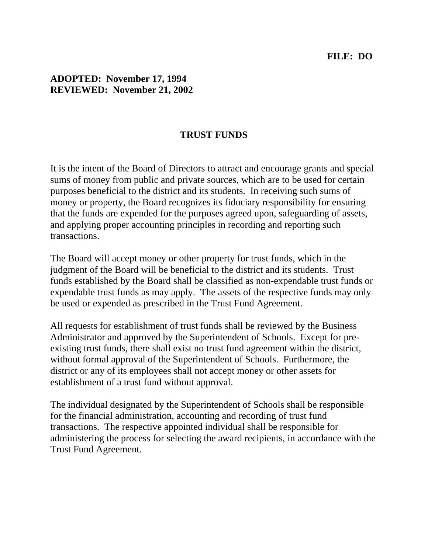#### **FILE: DO**

### **ADOPTED: November 17, 1994 REVIEWED: November 21, 2002**

#### **TRUST FUNDS**

It is the intent of the Board of Directors to attract and encourage grants and special sums of money from public and private sources, which are to be used for certain purposes beneficial to the district and its students. In receiving such sums of money or property, the Board recognizes its fiduciary responsibility for ensuring that the funds are expended for the purposes agreed upon, safeguarding of assets, and applying proper accounting principles in recording and reporting such transactions.

The Board will accept money or other property for trust funds, which in the judgment of the Board will be beneficial to the district and its students. Trust funds established by the Board shall be classified as non-expendable trust funds or expendable trust funds as may apply. The assets of the respective funds may only be used or expended as prescribed in the Trust Fund Agreement.

All requests for establishment of trust funds shall be reviewed by the Business Administrator and approved by the Superintendent of Schools. Except for preexisting trust funds, there shall exist no trust fund agreement within the district, without formal approval of the Superintendent of Schools. Furthermore, the district or any of its employees shall not accept money or other assets for establishment of a trust fund without approval.

The individual designated by the Superintendent of Schools shall be responsible for the financial administration, accounting and recording of trust fund transactions. The respective appointed individual shall be responsible for administering the process for selecting the award recipients, in accordance with the Trust Fund Agreement.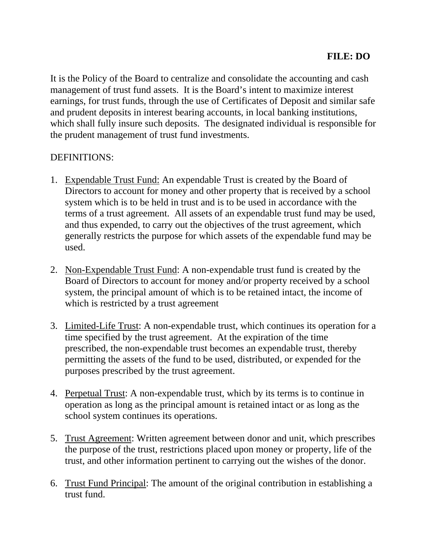It is the Policy of the Board to centralize and consolidate the accounting and cash management of trust fund assets. It is the Board's intent to maximize interest earnings, for trust funds, through the use of Certificates of Deposit and similar safe and prudent deposits in interest bearing accounts, in local banking institutions, which shall fully insure such deposits. The designated individual is responsible for the prudent management of trust fund investments.

### DEFINITIONS:

- 1. Expendable Trust Fund: An expendable Trust is created by the Board of Directors to account for money and other property that is received by a school system which is to be held in trust and is to be used in accordance with the terms of a trust agreement. All assets of an expendable trust fund may be used, and thus expended, to carry out the objectives of the trust agreement, which generally restricts the purpose for which assets of the expendable fund may be used.
- 2. Non-Expendable Trust Fund: A non-expendable trust fund is created by the Board of Directors to account for money and/or property received by a school system, the principal amount of which is to be retained intact, the income of which is restricted by a trust agreement
- 3. Limited-Life Trust: A non-expendable trust, which continues its operation for a time specified by the trust agreement. At the expiration of the time prescribed, the non-expendable trust becomes an expendable trust, thereby permitting the assets of the fund to be used, distributed, or expended for the purposes prescribed by the trust agreement.
- 4. Perpetual Trust: A non-expendable trust, which by its terms is to continue in operation as long as the principal amount is retained intact or as long as the school system continues its operations.
- 5. Trust Agreement: Written agreement between donor and unit, which prescribes the purpose of the trust, restrictions placed upon money or property, life of the trust, and other information pertinent to carrying out the wishes of the donor.
- 6. Trust Fund Principal: The amount of the original contribution in establishing a trust fund.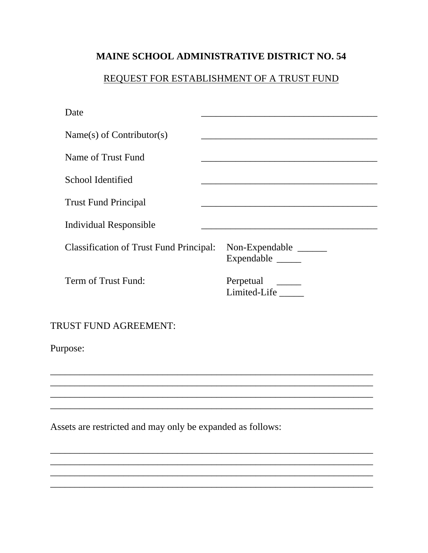## MAINE SCHOOL ADMINISTRATIVE DISTRICT NO. 54

# REQUEST FOR ESTABLISHMENT OF A TRUST FUND

| Date                                                       |                                                                                                                      |  |  |
|------------------------------------------------------------|----------------------------------------------------------------------------------------------------------------------|--|--|
| Name(s) of Contributor(s)                                  | <u> 1980 - Johann Stein, marwolaethau a bhann an t-Amhair an t-Amhair an t-Amhair an t-Amhair an t-Amhair an t-A</u> |  |  |
| Name of Trust Fund                                         |                                                                                                                      |  |  |
| School Identified                                          |                                                                                                                      |  |  |
| <b>Trust Fund Principal</b>                                |                                                                                                                      |  |  |
| <b>Individual Responsible</b>                              |                                                                                                                      |  |  |
| <b>Classification of Trust Fund Principal:</b>             | Non-Expendable ______<br>Expendable ______                                                                           |  |  |
| Term of Trust Fund:                                        | Perpetual _________<br>Limited-Life _____                                                                            |  |  |
| <b>TRUST FUND AGREEMENT:</b>                               |                                                                                                                      |  |  |
| Purpose:                                                   |                                                                                                                      |  |  |
|                                                            |                                                                                                                      |  |  |
|                                                            |                                                                                                                      |  |  |
| Assets are restricted and may only be expanded as follows: |                                                                                                                      |  |  |